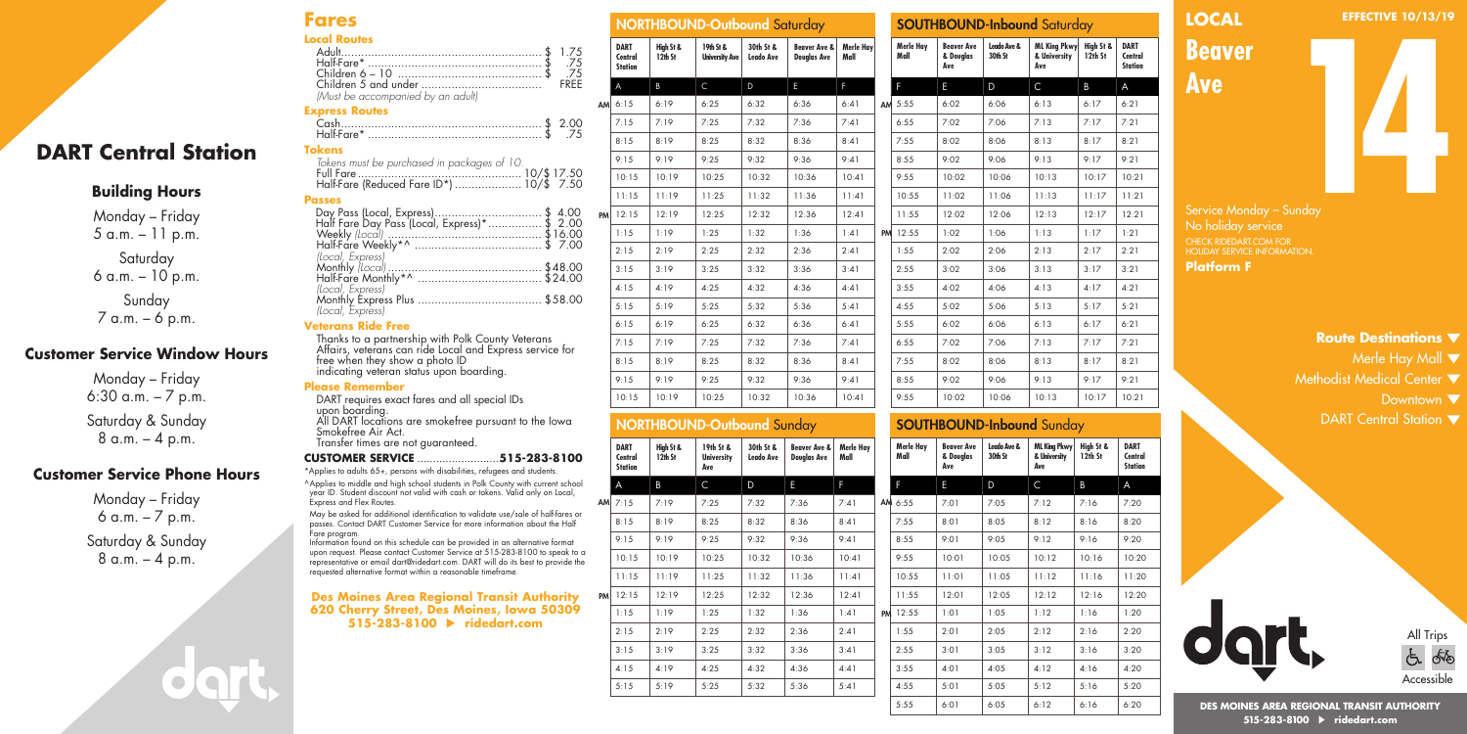## **Fares Local Routes**

| Loidell Molliters                 |  |
|-----------------------------------|--|
|                                   |  |
| 75. \$ .75.                       |  |
|                                   |  |
|                                   |  |
| (Must be accompanied by an adult) |  |

#### **Express Routes**

| Half-Fare*   |  |
|--------------|--|
| <b>Takon</b> |  |

| . |                                          |  |
|---|------------------------------------------|--|
|   |                                          |  |
|   |                                          |  |
|   | Half-Fare (Reduced Fare ID*)  10/\$ 7.50 |  |

#### **Passes**

**DART Central Station**

**Building Hours** Monday – Friday 5 a.m. – 11 p.m. Saturday 6 a.m. – 10 p.m. Sunday 7 a.m. – 6 p.m.

**Customer Service Window Hours** Monday – Friday 6:30 a.m. – 7 p.m. Saturday & Sunday 8 a.m. – 4 p.m.

**Customer Service Phone Hours** Monday – Friday 6 a.m. – 7 p.m. Saturday & Sunday 8 a.m. – 4 p.m.

| Day Pass (Local, Express)\$ 4.00<br>Half Fare Day Pass (Local, Express)*\$ 2.00 |  |
|---------------------------------------------------------------------------------|--|
|                                                                                 |  |
|                                                                                 |  |
|                                                                                 |  |
| (Local, Express)                                                                |  |
|                                                                                 |  |
|                                                                                 |  |
|                                                                                 |  |
|                                                                                 |  |
|                                                                                 |  |
| .                                                                               |  |

Thanks to a partnership with Polk County Veterans Affairs, veterans can ride Local and Express service for free when they show a photo ID indicating veteran status upon boarding.

upon boarding. All DART locations are smokefree pursuant to the Iowa Smokefree Air Act. Transfer times are not guaranteed.

#### **CUSTOMER SERVICE** ..........................**515-283-8100**

\*Applies to adults 65+, persons with disabilities, refugees and students. ^Applies to middle and high school students in Polk County with current school year ID. Student discount not valid with cash or tokens. Valid only on Local, Express and Flex Routes.

passes. Contact DART Customer Service for more information about the Half Fare program.

upon request. Please contact Customer Service at 515-283-8100 to speak to a representative or email dart@ridedart.com. DART will do its best to provide the requested alternative format within a reasonable timeframe.

### **Des Moines Area Regional Transit Authority 620 Cherry Street, Des Moines, Iowa 50309 515-283-8100 ridedart.com**

|                        |                                          |                      | <b>NORTHBOUND-Outbound Saturday</b> |                               |                                               |                   |    |
|------------------------|------------------------------------------|----------------------|-------------------------------------|-------------------------------|-----------------------------------------------|-------------------|----|
| .75<br>.75<br>.75      | <b>DART</b><br>Central<br><b>Station</b> | High St &<br>12th St | 19th St &<br><b>University Ave</b>  | 30th St &<br><b>Leado Ave</b> | <b>Beaver Ave &amp;</b><br><b>Douglas Ave</b> | Merle Hay<br>Mall |    |
| REE                    | A                                        | B                    | $\mathsf{C}$                        | D                             | E                                             | F                 |    |
| AM                     | 6:15                                     | 6:19                 | 6:25                                | 6:32                          | 6:36                                          | 6:41              | AM |
| .00                    | 7:15                                     | 7:19                 | 7:25                                | 7:32                          | 7:36                                          | 7:41              |    |
| .75                    | 8:15                                     | 8:19                 | 8:25                                | 8:32                          | 8:36                                          | 8:41              |    |
|                        | 9:15                                     | 9:19                 | 9:25                                | 9:32                          | 9:36                                          | 9:41              |    |
| .50<br>.50             | 10:15                                    | 10:19                | 10:25                               | 10:32                         | 10:36                                         | 10:41             |    |
|                        | 11:15                                    | 11:19                | 11:25                               | 11:32                         | 11:36                                         | 11:41             |    |
| 00<br><b>PM</b><br>.00 | 12:15                                    | 12:19                | 12:25                               | 12:32                         | 12:36                                         | 12:41             |    |
| .00                    | 1:15                                     | 1:19                 | 1:25                                | 1:32                          | 1:36                                          | 1:41              | PM |
| .00                    | 2:15                                     | 2:19                 | 2:25                                | 2:32                          | 2:36                                          | 2:41              |    |
| .00<br>.00             | 3:15                                     | 3:19                 | 3:25                                | 3:32                          | 3:36                                          | 3:41              |    |
|                        | 4:15                                     | 4:19                 | 4:25                                | 4:32                          | 4:36                                          | 4:41              |    |
| .00                    | 5:15                                     | 5:19                 | 5:25                                | 5:32                          | 5:36                                          | 5:41              |    |
|                        | 6:15                                     | 6:19                 | 6:25                                | 6:32                          | 6:36                                          | 6:41              |    |
| эr                     | 7:15                                     | 7:19                 | 7:25                                | 7:32                          | 7:36                                          | 7:41              |    |
|                        | 8:15                                     | 8:19                 | 8:25                                | 8:32                          | 8:36                                          | 8:41              |    |
|                        | 9:15                                     | 9:19                 | 9:25                                | 9:32                          | 9:36                                          | 9:41              |    |

# NORTHBOUND-Outbound Sunday

|           | <b>DART</b><br>Central<br><b>Station</b> | High St &<br>12th St | 19th St &<br><b>University</b><br>Ave | 30th St &<br>Leado Ave | <b>Beaver Ave &amp;</b><br><b>Douglas Ave</b> | Merle Hay<br>Mall |    | Merk<br>Mall |
|-----------|------------------------------------------|----------------------|---------------------------------------|------------------------|-----------------------------------------------|-------------------|----|--------------|
|           | A                                        | B                    | C                                     | D                      | E                                             | F                 |    | F            |
| AM        | 7:15                                     | 7:19                 | 7:25                                  | 7:32                   | 7:36                                          | 7:41              |    | AM 6:55      |
|           | 8:15                                     | 8:19                 | 8:25                                  | 8:32                   | 8:36                                          | 8:41              |    | 7:55         |
|           | 9:15                                     | 9:19                 | 9:25                                  | 9:32                   | 9:36                                          | 9:41              |    | 8:55         |
|           | 10:15                                    | 10:19                | 10:25                                 | 10:32                  | 10:36                                         | 10:41             |    | 9:55         |
|           | 11:15                                    | 11:19                | 11:25                                 | 11:32                  | 11:36                                         | 11:41             |    | 10:5         |
| <b>PM</b> | 12:15                                    | 12:19                | 12:25                                 | 12:32                  | 12:36                                         | 12:41             |    | 11:5         |
|           | 1:15                                     | 1:19                 | 1:25                                  | 1:32                   | 1:36                                          | 1:41              | PM | 12:5         |
|           | 2:15                                     | 2:19                 | 2:25                                  | 2:32                   | 2:36                                          | 2:41              |    | 1:55         |
|           | 3:15                                     | 3:19                 | 3:25                                  | 3:32                   | 3:36                                          | 3:41              |    | 2:55         |
|           | 4:15                                     | 4:19                 | 4:25                                  | 4:32                   | 4:36                                          | 4:41              |    | 3:55         |
|           | 5:15                                     | 5:19                 | 5:25                                  | 5:32                   | 5:36                                          | 5:41              |    | 4:55         |
|           |                                          |                      |                                       |                        |                                               |                   |    | 5.54         |

# SOUTHBOUND-Inbound Saturday

|                            |                      |                                    | $\sim$                        |                                               |                   |                   |                                       |                        |                                            |                      |                                          |
|----------------------------|----------------------|------------------------------------|-------------------------------|-----------------------------------------------|-------------------|-------------------|---------------------------------------|------------------------|--------------------------------------------|----------------------|------------------------------------------|
| DART<br>Central<br>Station | High St &<br>12th St | 19th St &<br><b>University Ave</b> | 30th St &<br><b>Leado Ave</b> | <b>Beaver Ave &amp;</b><br><b>Douglas Ave</b> | Merle Hay<br>Mall | Merle Hay<br>Mall | <b>Beaver Ave</b><br>& Douglas<br>Ave | Leado Ave &<br>30th St | <b>ML King Pkwy</b><br>& University<br>Ave | High St &<br>12th St | <b>DART</b><br>Central<br><b>Station</b> |
| A                          | B                    | $\mathsf{C}$                       | D                             | E                                             | F.                | F                 | E.                                    | D                      | $\mathsf{C}$                               | B                    | A                                        |
| 6:15                       | 6:19                 | 6:25                               | 6:32                          | 6:36                                          | 6:41              | AM 5:55           | 6:02                                  | 6:06                   | 6:13                                       | 6:17                 | 6:21                                     |
| 7:15                       | 7:19                 | 7:25                               | 7:32                          | 7:36                                          | 7:41              | 6:55              | 7:02                                  | 7:06                   | 7:13                                       | 7:17                 | 7:21                                     |
| 8:15                       | 8:19                 | 8:25                               | 8:32                          | 8:36                                          | 8:41              | 7:55              | 8:02                                  | 8:06                   | 8:13                                       | 8:17                 | 8:21                                     |
| 9:15                       | 9:19                 | 9:25                               | 9:32                          | 9:36                                          | 9:41              | 8:55              | 9:02                                  | 9:06                   | 9:13                                       | 9:17                 | 9:21                                     |
| 10:15                      | 10:19                | 10:25                              | 10:32                         | 10:36                                         | 10:41             | 9:55              | 10:02                                 | 10:06                  | 10:13                                      | 10:17                | 10:21                                    |
| 11:15                      | 11:19                | 11:25                              | 11:32                         | 11:36                                         | 11:41             | 10:55             | 11:02                                 | 11:06                  | 11:13                                      | 11:17                | 11:21                                    |
| 12:15                      | 12:19                | 12:25                              | 12:32                         | 12:36                                         | 12:41             | 11:55             | 12:02                                 | 12:06                  | 12:13                                      | 12:17                | 12:21                                    |
| 1:15                       | 1:19                 | 1:25                               | 1:32                          | 1:36                                          | 1:41              | PM 12:55          | 1:02                                  | 1:06                   | 1:13                                       | 1:17                 | 1:21                                     |
| 2:15                       | 2:19                 | 2:25                               | 2:32                          | 2:36                                          | 2:41              | 1:55              | 2:02                                  | 2:06                   | 2:13                                       | 2:17                 | 2:21                                     |
| 3:15                       | 3:19                 | 3:25                               | 3:32                          | 3:36                                          | 3:41              | 2:55              | 3:02                                  | 3:06                   | 3:13                                       | 3:17                 | 3:21                                     |
| 4:15                       | 4:19                 | 4:25                               | 4:32                          | 4:36                                          | 4:41              | 3:55              | 4:02                                  | 4:06                   | 4:13                                       | 4:17                 | 4:21                                     |
| 5:15                       | 5:19                 | 5:25                               | 5:32                          | 5:36                                          | 5:41              | 4:55              | 5:02                                  | 5:06                   | 5:13                                       | 5:17                 | 5:21                                     |
| 6:15                       | 6:19                 | 6:25                               | 6:32                          | 6:36                                          | 6:41              | 5:55              | 6:02                                  | 6:06                   | 6:13                                       | 6:17                 | 6:21                                     |
| 7:15                       | 7:19                 | 7:25                               | 7:32                          | 7:36                                          | 7:41              | 6:55              | 7:02                                  | 7:06                   | 7:13                                       | 7:17                 | 7:21                                     |
| 8:15                       | 8:19                 | 8:25                               | 8:32                          | 8:36                                          | 8:41              | 7:55              | 8:02                                  | 8:06                   | 8:13                                       | 8:17                 | 8:21                                     |
| 9:15                       | 9:19                 | 9:25                               | 9:32                          | 9:36                                          | 9:41              | 8:55              | 9:02                                  | 9:06                   | 9:13                                       | 9:17                 | 9:21                                     |
| 10:15                      | 10:19                | 10:25                              | 10:32                         | 10:36                                         | 10:41             | 9:55              | 10:02                                 | 10:06                  | 10:13                                      | 10:17                | 10:21                                    |

# SOUTHBOUND-Inbound Sunday

| ay |    | Merle Hay<br>Mall | <b>Beaver Ave</b><br>& Douglas<br>Ave | Leado Ave &<br>30th St | ML King Pkwy<br>& University<br>Ave | High St &<br>12th St | <b>DART</b><br>Central<br><b>Station</b> |
|----|----|-------------------|---------------------------------------|------------------------|-------------------------------------|----------------------|------------------------------------------|
|    |    | F                 | E                                     | D                      | C                                   | B                    | A                                        |
|    |    | AM 6:55           | 7:01                                  | 7:05                   | 7:12                                | 7:16                 | 7:20                                     |
|    |    | 7:55              | 8:01                                  | 8:05                   | 8:12                                | 8:16                 | 8:20                                     |
|    |    | 8:55              | 9:01                                  | 9:05                   | 9:12                                | 9:16                 | 9:20                                     |
|    |    | 9:55              | 10:01                                 | 10:05                  | 10:12                               | 10:16                | 10:20                                    |
|    |    | 10:55             | 11:01                                 | 11:05                  | 11:12                               | 11:16                | 11:20                                    |
|    |    | 11:55             | 12:01                                 | 12:05                  | 12:12                               | 12:16                | 12:20                                    |
|    | PM | 12:55             | 1:01                                  | 1:05                   | 1:12                                | 1:16                 | 1:20                                     |
|    |    | 1:55              | 2:01                                  | 2:05                   | 2:12                                | 2:16                 | 2:20                                     |
|    |    | 2:55              | 3:01                                  | 3:05                   | 3:12                                | 3:16                 | 3:20                                     |
|    |    | 3:55              | 4:01                                  | 4:05                   | 4:12                                | 4:16                 | 4:20                                     |
|    |    | 4:55              | 5:01                                  | 5:05                   | 5:12                                | 5:16                 | 5:20                                     |
|    |    | 5:55              | 6:01                                  | 6:05                   | 6:12                                | 6:16                 | 6:20                                     |

# **LOCAL**

**EFFECTIVE 10/13/19**

*Beaver* **14** 

**Ave**

Service Monday – Sunday No holiday service HOLIDAY SERVICE INFORMATION. **Platform F**

# **Route Destinations**

- Merle Hay Mall  $\blacktriangledown$
- Methodist Medical Center  $\blacktriangledown$ 
	- Downtown  $\nabla$
	- DART Central Station  $\blacktriangledown$



**DES MOINES AREA REGIONAL TRANSIT AUTHORITY 515-283-8100 ridedart.com**

| Monthly Express Plus                                                       |
|----------------------------------------------------------------------------|
| (Local, Express)                                                           |
| <b>Veterans Ride Free</b>                                                  |
| Thanks to a partnership with Polk (<br>Affairs, veterans can ride Local an |
|                                                                            |

## **Please Remember**

DART requires exact fares and all special IDs

May be asked for additional identification to validate use/sale of half-fares or

Information found on this schedule can be provided in an alternative format